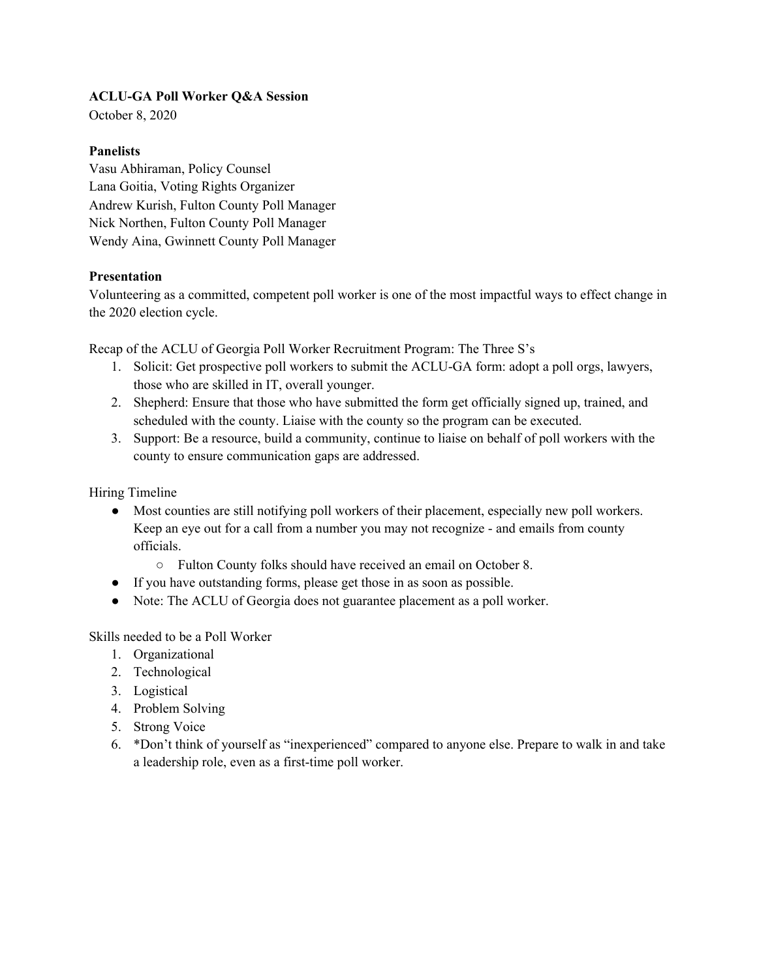## **ACLU-GA Poll Worker Q&A Session**

October 8, 2020

#### **Panelists**

Vasu Abhiraman, Policy Counsel Lana Goitia, Voting Rights Organizer Andrew Kurish, Fulton County Poll Manager Nick Northen, Fulton County Poll Manager Wendy Aina, Gwinnett County Poll Manager

## **Presentation**

Volunteering as a committed, competent poll worker is one of the most impactful ways to effect change in the 2020 election cycle.

Recap of the ACLU of Georgia Poll Worker Recruitment Program: The Three S's

- 1. Solicit: Get prospective poll workers to submit the ACLU-GA form: adopt a poll orgs, lawyers, those who are skilled in IT, overall younger.
- 2. Shepherd: Ensure that those who have submitted the form get officially signed up, trained, and scheduled with the county. Liaise with the county so the program can be executed.
- 3. Support: Be a resource, build a community, continue to liaise on behalf of poll workers with the county to ensure communication gaps are addressed.

Hiring Timeline

- Most counties are still notifying poll workers of their placement, especially new poll workers. Keep an eye out for a call from a number you may not recognize - and emails from county officials.
	- Fulton County folks should have received an email on October 8.
- If you have outstanding forms, please get those in as soon as possible.
- Note: The ACLU of Georgia does not guarantee placement as a poll worker.

Skills needed to be a Poll Worker

- 1. Organizational
- 2. Technological
- 3. Logistical
- 4. Problem Solving
- 5. Strong Voice
- 6. \*Don't think of yourself as "inexperienced" compared to anyone else. Prepare to walk in and take a leadership role, even as a first-time poll worker.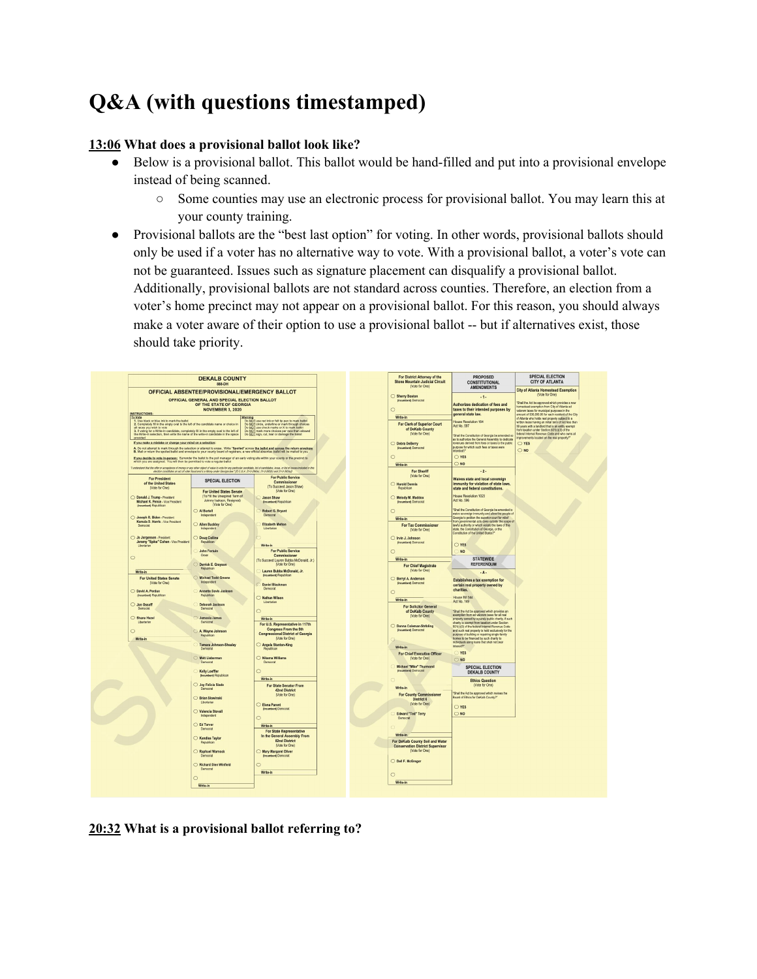# **Q&A (with questions timestamped)**

# **13:06 What does a provisional ballot look like?**

- Below is a provisional ballot. This ballot would be hand-filled and put into a provisional envelope instead of being scanned.
	- Some counties may use an electronic process for provisional ballot. You may learn this at your county training.
- Provisional ballots are the "best last option" for voting. In other words, provisional ballots should only be used if a voter has no alternative way to vote. With a provisional ballot, a voter's vote can not be guaranteed. Issues such as signature placement can disqualify a provisional ballot. Additionally, provisional ballots are not standard across counties. Therefore, an election from a voter's home precinct may not appear on a provisional ballot. For this reason, you should always make a voter aware of their option to use a provisional ballot -- but if alternatives exist, those should take priority.



**20:32 What is a provisional ballot referring to?**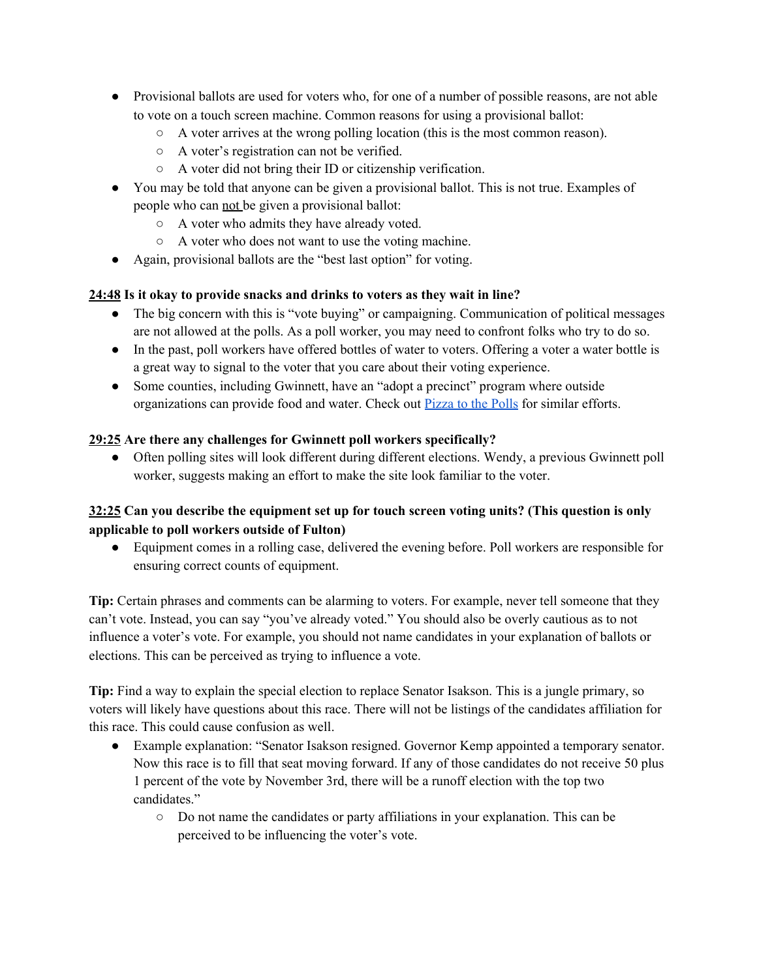- Provisional ballots are used for voters who, for one of a number of possible reasons, are not able to vote on a touch screen machine. Common reasons for using a provisional ballot:
	- A voter arrives at the wrong polling location (this is the most common reason).
	- A voter's registration can not be verified.
	- A voter did not bring their ID or citizenship verification.
- You may be told that anyone can be given a provisional ballot. This is not true. Examples of people who can not be given a provisional ballot:
	- A voter who admits they have already voted.
	- A voter who does not want to use the voting machine.
- Again, provisional ballots are the "best last option" for voting.

## **24:48 Is it okay to provide snacks and drinks to voters as they wait in line?**

- The big concern with this is "vote buying" or campaigning. Communication of political messages are not allowed at the polls. As a poll worker, you may need to confront folks who try to do so.
- In the past, poll workers have offered bottles of water to voters. Offering a voter a water bottle is a great way to signal to the voter that you care about their voting experience.
- Some counties, including Gwinnett, have an "adopt a precinct" program where outside organizations can provide food and water. Check out [Pizza](https://polls.pizza/) to the Polls for similar efforts.

## **29:25 Are there any challenges for Gwinnett poll workers specifically?**

● Often polling sites will look different during different elections. Wendy, a previous Gwinnett poll worker, suggests making an effort to make the site look familiar to the voter.

## **32:25 Can you describe the equipment set up for touch screen voting units? (This question is only applicable to poll workers outside of Fulton)**

● Equipment comes in a rolling case, delivered the evening before. Poll workers are responsible for ensuring correct counts of equipment.

**Tip:** Certain phrases and comments can be alarming to voters. For example, never tell someone that they can't vote. Instead, you can say "you've already voted." You should also be overly cautious as to not influence a voter's vote. For example, you should not name candidates in your explanation of ballots or elections. This can be perceived as trying to influence a vote.

**Tip:** Find a way to explain the special election to replace Senator Isakson. This is a jungle primary, so voters will likely have questions about this race. There will not be listings of the candidates affiliation for this race. This could cause confusion as well.

- Example explanation: "Senator Isakson resigned. Governor Kemp appointed a temporary senator. Now this race is to fill that seat moving forward. If any of those candidates do not receive 50 plus 1 percent of the vote by November 3rd, there will be a runoff election with the top two candidates."
	- Do not name the candidates or party affiliations in your explanation. This can be perceived to be influencing the voter's vote.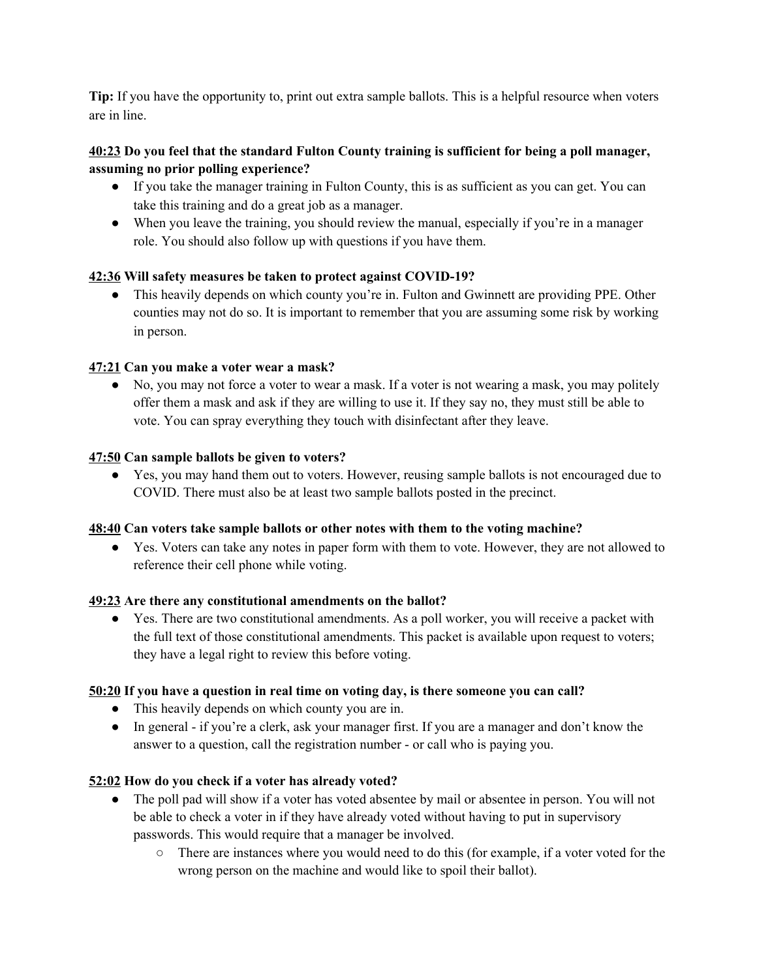**Tip:** If you have the opportunity to, print out extra sample ballots. This is a helpful resource when voters are in line.

## **40:23 Do you feel that the standard Fulton County training is sufficient for being a poll manager, assuming no prior polling experience?**

- If you take the manager training in Fulton County, this is as sufficient as you can get. You can take this training and do a great job as a manager.
- When you leave the training, you should review the manual, especially if you're in a manager role. You should also follow up with questions if you have them.

## **42:36 Will safety measures be taken to protect against COVID-19?**

• This heavily depends on which county you're in. Fulton and Gwinnett are providing PPE. Other counties may not do so. It is important to remember that you are assuming some risk by working in person.

#### **47:21 Can you make a voter wear a mask?**

• No, you may not force a voter to wear a mask. If a voter is not wearing a mask, you may politely offer them a mask and ask if they are willing to use it. If they say no, they must still be able to vote. You can spray everything they touch with disinfectant after they leave.

#### **47:50 Can sample ballots be given to voters?**

● Yes, you may hand them out to voters. However, reusing sample ballots is not encouraged due to COVID. There must also be at least two sample ballots posted in the precinct.

#### **48:40 Can voters take sample ballots or other notes with them to the voting machine?**

● Yes. Voters can take any notes in paper form with them to vote. However, they are not allowed to reference their cell phone while voting.

#### **49:23 Are there any constitutional amendments on the ballot?**

● Yes. There are two constitutional amendments. As a poll worker, you will receive a packet with the full text of those constitutional amendments. This packet is available upon request to voters; they have a legal right to review this before voting.

#### **50:20 If you have a question in real time on voting day, is there someone you can call?**

- This heavily depends on which county you are in.
- In general if you're a clerk, ask your manager first. If you are a manager and don't know the answer to a question, call the registration number - or call who is paying you.

## **52:02 How do you check if a voter has already voted?**

- The poll pad will show if a voter has voted absentee by mail or absentee in person. You will not be able to check a voter in if they have already voted without having to put in supervisory passwords. This would require that a manager be involved.
	- There are instances where you would need to do this (for example, if a voter voted for the wrong person on the machine and would like to spoil their ballot).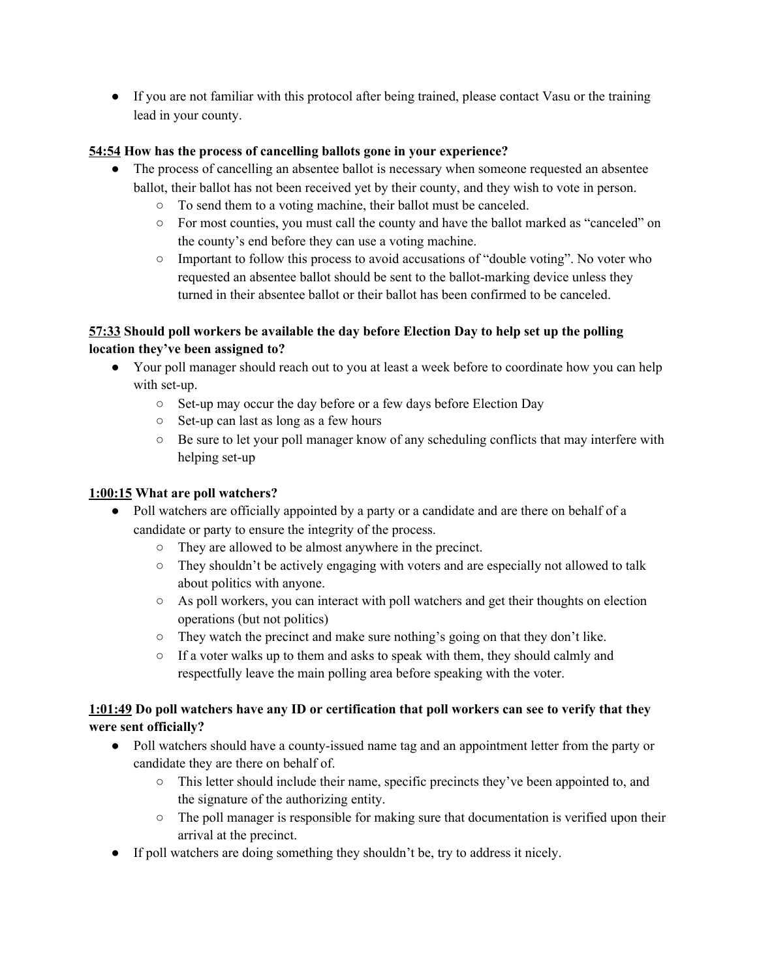● If you are not familiar with this protocol after being trained, please contact Vasu or the training lead in your county.

## **54:54 How has the process of cancelling ballots gone in your experience?**

- The process of cancelling an absentee ballot is necessary when someone requested an absentee ballot, their ballot has not been received yet by their county, and they wish to vote in person.
	- To send them to a voting machine, their ballot must be canceled.
	- For most counties, you must call the county and have the ballot marked as "canceled" on the county's end before they can use a voting machine.
	- Important to follow this process to avoid accusations of "double voting". No voter who requested an absentee ballot should be sent to the ballot-marking device unless they turned in their absentee ballot or their ballot has been confirmed to be canceled.

# **57:33 Should poll workers be available the day before Election Day to help set up the polling location they've been assigned to?**

- Your poll manager should reach out to you at least a week before to coordinate how you can help with set-up.
	- Set-up may occur the day before or a few days before Election Day
	- Set-up can last as long as a few hours
	- $\circ$  Be sure to let your poll manager know of any scheduling conflicts that may interfere with helping set-up

# **1:00:15 What are poll watchers?**

- Poll watchers are officially appointed by a party or a candidate and are there on behalf of a candidate or party to ensure the integrity of the process.
	- They are allowed to be almost anywhere in the precinct.
	- They shouldn't be actively engaging with voters and are especially not allowed to talk about politics with anyone.
	- As poll workers, you can interact with poll watchers and get their thoughts on election operations (but not politics)
	- They watch the precinct and make sure nothing's going on that they don't like.
	- If a voter walks up to them and asks to speak with them, they should calmly and respectfully leave the main polling area before speaking with the voter.

# 1:01:49 Do poll watchers have any ID or certification that poll workers can see to verify that they **were sent officially?**

- Poll watchers should have a county-issued name tag and an appointment letter from the party or candidate they are there on behalf of.
	- This letter should include their name, specific precincts they've been appointed to, and the signature of the authorizing entity.
	- The poll manager is responsible for making sure that documentation is verified upon their arrival at the precinct.
- If poll watchers are doing something they shouldn't be, try to address it nicely.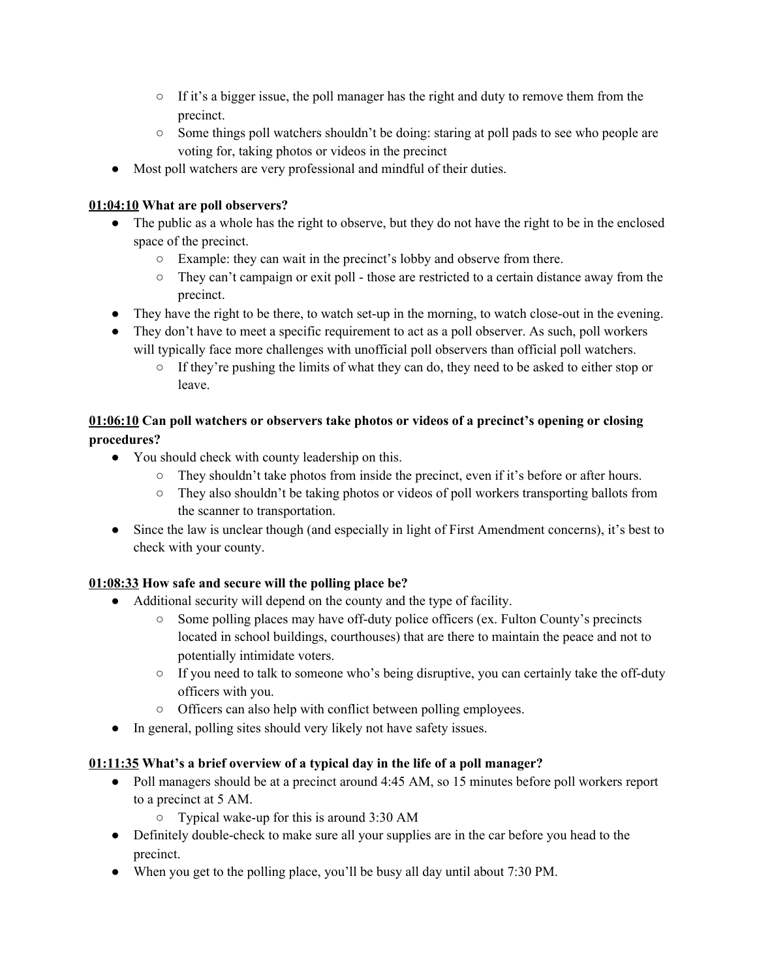- $\circ$  If it's a bigger issue, the poll manager has the right and duty to remove them from the precinct.
- Some things poll watchers shouldn't be doing: staring at poll pads to see who people are voting for, taking photos or videos in the precinct
- Most poll watchers are very professional and mindful of their duties.

# **01:04:10 What are poll observers?**

- The public as a whole has the right to observe, but they do not have the right to be in the enclosed space of the precinct.
	- Example: they can wait in the precinct's lobby and observe from there.
	- They can't campaign or exit poll those are restricted to a certain distance away from the precinct.
- They have the right to be there, to watch set-up in the morning, to watch close-out in the evening.
- They don't have to meet a specific requirement to act as a poll observer. As such, poll workers will typically face more challenges with unofficial poll observers than official poll watchers.
	- If they're pushing the limits of what they can do, they need to be asked to either stop or leave.

# **01:06:10 Can poll watchers or observers take photos or videos of a precinct's opening or closing procedures?**

- You should check with county leadership on this.
	- They shouldn't take photos from inside the precinct, even if it's before or after hours.
	- They also shouldn't be taking photos or videos of poll workers transporting ballots from the scanner to transportation.
- Since the law is unclear though (and especially in light of First Amendment concerns), it's best to check with your county.

# **01:08:33 How safe and secure will the polling place be?**

- Additional security will depend on the county and the type of facility.
	- $\circ$  Some polling places may have off-duty police officers (ex. Fulton County's precincts located in school buildings, courthouses) that are there to maintain the peace and not to potentially intimidate voters.
	- If you need to talk to someone who's being disruptive, you can certainly take the off-duty officers with you.
	- Officers can also help with conflict between polling employees.
- In general, polling sites should very likely not have safety issues.

# **01:11:35 What's a brief overview of a typical day in the life of a poll manager?**

- Poll managers should be at a precinct around 4:45 AM, so 15 minutes before poll workers report to a precinct at 5 AM.
	- Typical wake-up for this is around 3:30 AM
- Definitely double-check to make sure all your supplies are in the car before you head to the precinct.
- When you get to the polling place, you'll be busy all day until about 7:30 PM.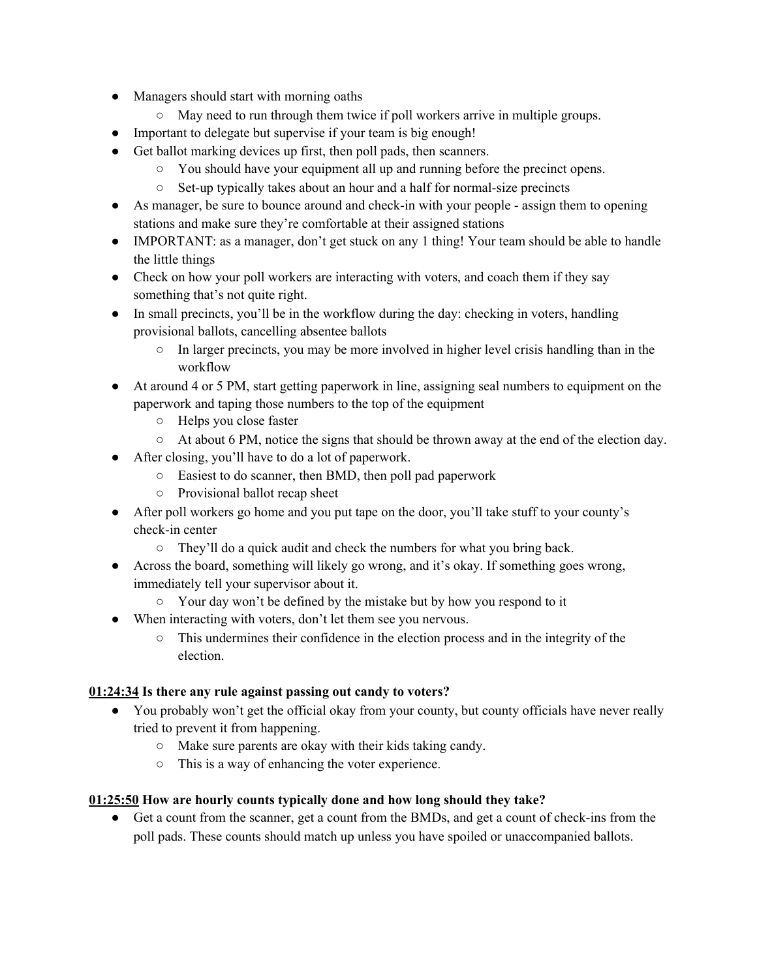- Managers should start with morning oaths
	- May need to run through them twice if poll workers arrive in multiple groups.
- Important to delegate but supervise if your team is big enough!
- Get ballot marking devices up first, then poll pads, then scanners.
	- You should have your equipment all up and running before the precinct opens.
	- Set-up typically takes about an hour and a half for normal-size precincts
- As manager, be sure to bounce around and check-in with your people assign them to opening stations and make sure they're comfortable at their assigned stations
- IMPORTANT: as a manager, don't get stuck on any 1 thing! Your team should be able to handle the little things
- Check on how your poll workers are interacting with voters, and coach them if they say something that's not quite right.
- In small precincts, you'll be in the workflow during the day: checking in voters, handling provisional ballots, cancelling absentee ballots
	- $\circ$  In larger precincts, you may be more involved in higher level crisis handling than in the workflow
- At around 4 or 5 PM, start getting paperwork in line, assigning seal numbers to equipment on the paperwork and taping those numbers to the top of the equipment
	- Helps you close faster
	- At about 6 PM, notice the signs that should be thrown away at the end of the election day.
- After closing, you'll have to do a lot of paperwork.
	- Easiest to do scanner, then BMD, then poll pad paperwork
	- Provisional ballot recap sheet
- After poll workers go home and you put tape on the door, you'll take stuff to your county's check-in center
	- They'll do a quick audit and check the numbers for what you bring back.
- Across the board, something will likely go wrong, and it's okay. If something goes wrong, immediately tell your supervisor about it.
	- Your day won't be defined by the mistake but by how you respond to it
- When interacting with voters, don't let them see you nervous.
	- This undermines their confidence in the election process and in the integrity of the election.

## **01:24:34 Is there any rule against passing out candy to voters?**

- You probably won't get the official okay from your county, but county officials have never really tried to prevent it from happening.
	- Make sure parents are okay with their kids taking candy.
	- This is a way of enhancing the voter experience.

## **01:25:50 How are hourly counts typically done and how long should they take?**

● Get a count from the scanner, get a count from the BMDs, and get a count of check-ins from the poll pads. These counts should match up unless you have spoiled or unaccompanied ballots.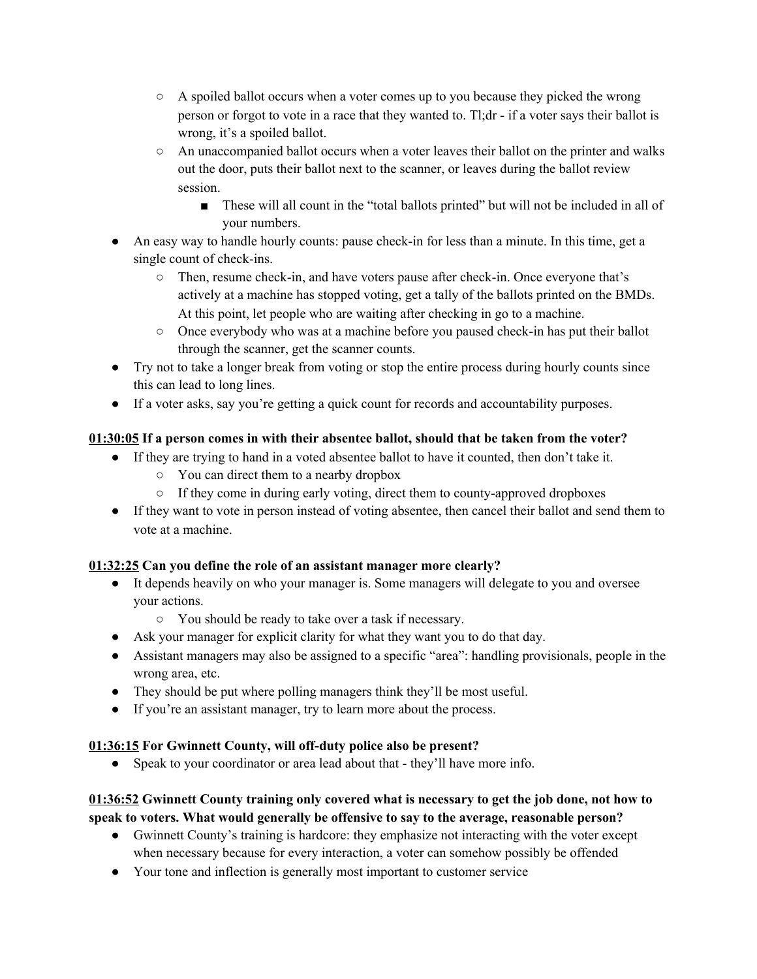- $\circ$  A spoiled ballot occurs when a voter comes up to you because they picked the wrong person or forgot to vote in a race that they wanted to. Tl;dr - if a voter says their ballot is wrong, it's a spoiled ballot.
- An unaccompanied ballot occurs when a voter leaves their ballot on the printer and walks out the door, puts their ballot next to the scanner, or leaves during the ballot review session.
	- These will all count in the "total ballots printed" but will not be included in all of your numbers.
- An easy way to handle hourly counts: pause check-in for less than a minute. In this time, get a single count of check-ins.
	- Then, resume check-in, and have voters pause after check-in. Once everyone that's actively at a machine has stopped voting, get a tally of the ballots printed on the BMDs. At this point, let people who are waiting after checking in go to a machine.
	- Once everybody who was at a machine before you paused check-in has put their ballot through the scanner, get the scanner counts.
- Try not to take a longer break from voting or stop the entire process during hourly counts since this can lead to long lines.
- If a voter asks, say you're getting a quick count for records and accountability purposes.

# **01:30:05 If a person comes in with their absentee ballot, should that be taken from the voter?**

- If they are trying to hand in a voted absentee ballot to have it counted, then don't take it.
	- You can direct them to a nearby dropbox
	- If they come in during early voting, direct them to county-approved dropboxes
- If they want to vote in person instead of voting absentee, then cancel their ballot and send them to vote at a machine.

# **01:32:25 Can you define the role of an assistant manager more clearly?**

- It depends heavily on who your manager is. Some managers will delegate to you and oversee your actions.
	- You should be ready to take over a task if necessary.
- Ask your manager for explicit clarity for what they want you to do that day.
- Assistant managers may also be assigned to a specific "area": handling provisionals, people in the wrong area, etc.
- They should be put where polling managers think they'll be most useful.
- If you're an assistant manager, try to learn more about the process.

# **01:36:15 For Gwinnett County, will off-duty police also be present?**

• Speak to your coordinator or area lead about that - they'll have more info.

# **01:36:52 Gwinnett County training only covered what is necessary to get the job done, not how to speak to voters. What would generally be offensive to say to the average, reasonable person?**

- Gwinnett County's training is hardcore: they emphasize not interacting with the voter except when necessary because for every interaction, a voter can somehow possibly be offended
- Your tone and inflection is generally most important to customer service